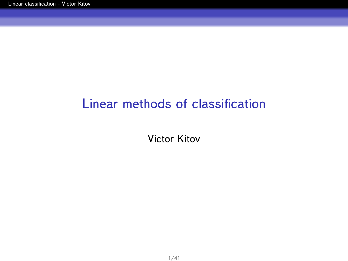## <span id="page-0-0"></span>Linear methods of classification

Victor Kitov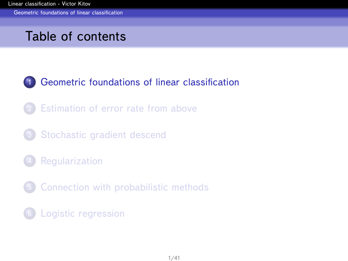<span id="page-1-0"></span>[Geometric foundations of linear classification](#page-1-0)

## Table of contents

### 1 [Geometric foundations of linear classification](#page-1-0)

- **[Estimation of error rate from above](#page-13-0)**
- 3 [Stochastic gradient descend](#page-18-0)
- **[Regularization](#page-27-0)**
- 5 [Connection with probabilistic methods](#page-33-0)
- 6 [Logistic regression](#page-37-0)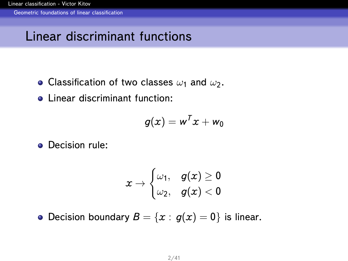<span id="page-2-0"></span>[Geometric foundations of linear classification](#page-2-0)

## Linear discriminant functions

- Classification of two classes  $\omega_1$  and  $\omega_2$ .
- **Linear discriminant function:**

$$
g(x) = w^T x + w_0
$$

**o** Decision rule:

$$
x\rightarrow \begin{cases}\omega_1,& g(x)\geq 0\\ \omega_2,& g(x)<0\end{cases}
$$

• Decision boundary  $B = \{x : g(x) = 0\}$  is linear.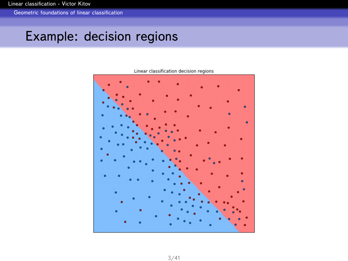<span id="page-3-0"></span>[Geometric foundations of linear classification](#page-3-0)

## Example: decision regions



Linear classification decision regions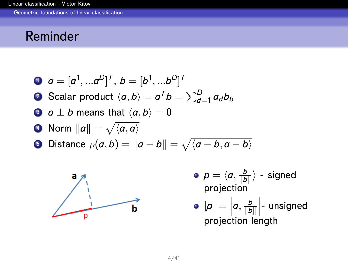<span id="page-4-0"></span>[Geometric foundations of linear classification](#page-4-0)

### Reminder

\n- **0** 
$$
a = [a^1, \ldots a^D]^T
$$
,  $b = [b^1, \ldots b^D]^T$
\n- **0** Scalar product  $\langle a, b \rangle = a^T b = \sum_{d=1}^D a_d b_b$
\n- **0**  $a \perp b$  means that  $\langle a, b \rangle = 0$
\n- **0** Norm  $||a|| = \sqrt{\langle a, a \rangle}$
\n- **0** Distance  $\rho(a, b) = ||a - b|| = \sqrt{\langle a - b, a - b \rangle}$
\n



- $\rho = \langle a, \frac{b}{\|b\|} \rangle$  signed projection
- $|\boldsymbol{\rho}| = \left| \boldsymbol{a}, \frac{\boldsymbol{b}}{\|\boldsymbol{b}\|} \right|$ projection length projection length  $\Big|$ - unsigned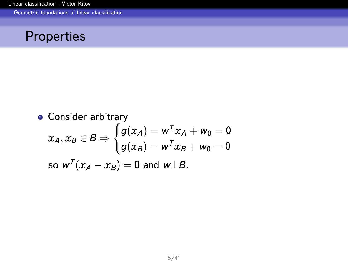<span id="page-5-0"></span>[Geometric foundations of linear classification](#page-5-0)



\n- Consider arbitrary
\n- \n
$$
x_A, x_B \in B \Rightarrow \begin{cases}\n g(x_A) = w^T x_A + w_0 = 0 \\
 g(x_B) = w^T x_B + w_0 = 0\n \end{cases}
$$
\n
\n- so  $w^T (x_A - x_B) = 0$  and  $w \perp B$ .\n
\n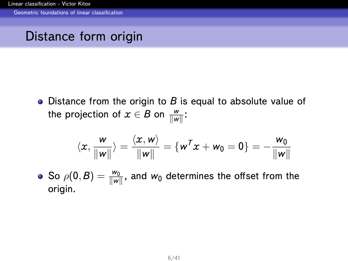<span id="page-6-0"></span>[Geometric foundations of linear classification](#page-6-0)

## Distance form origin

• Distance from the origin to B is equal to absolute value of the projection of  $x \in B$  on  $\frac{w}{\|w\|}$ :

$$
\langle x, \frac{w}{\|w\|}\rangle = \frac{\langle x, w\rangle}{\|w\|} = \{w^T x + w_0 = 0\} = -\frac{w_0}{\|w\|}
$$

So  $\rho(\mathbf{0},B)=\frac{w_0}{\|w\|}$ , and  $w_0$  determines the offset from the origin.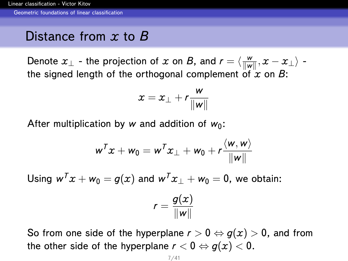<span id="page-7-0"></span>[Geometric foundations of linear classification](#page-7-0)

## Distance from *x* to *B*

Denote  $x_\perp$  - the projection of  $x$  on  $B$ , and  $r = \langle \frac{w}{\|w\|}, x - x_\perp \rangle$  the signed length of the orthogonal complement of  $\hat{x}$  on  $B$ :

$$
x = x_{\perp} + r \frac{w}{\|w\|}
$$

After multiplication by *w* and addition of  $w_0$ :

$$
w^T x + w_0 = w^T x_\perp + w_0 + r \frac{\langle w, w \rangle}{\|w\|}
$$

Using  $w^T x + w_0 = q(x)$  and  $w^T x_1 + w_0 = 0$ , we obtain:

$$
r=\frac{g(x)}{\|w\|}
$$

So from one side of the hyperplane  $r > 0 \Leftrightarrow g(x) > 0$ , and from the other side of the hyperplane  $r < 0 \Leftrightarrow g(x) < 0$ .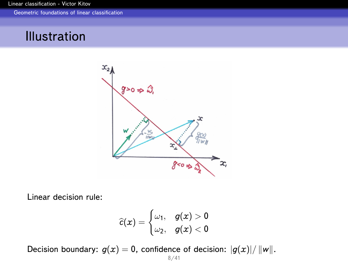<span id="page-8-0"></span>[Geometric foundations of linear classification](#page-8-0)

## Illustration



Linear decision rule:

$$
\widehat{c}(x) = \begin{cases} \omega_1, & g(x) > 0 \\ \omega_2, & g(x) < 0 \end{cases}
$$

Decision boundary:  $g(x) = 0$ , confidence of decision:  $|g(x)|/||w||$ .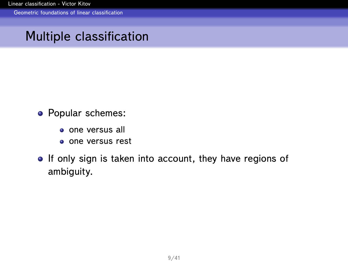<span id="page-9-0"></span>[Geometric foundations of linear classification](#page-9-0)

## Multiple classification

- Popular schemes:
	- **o** one versus all
	- one versus rest
- If only sign is taken into account, they have regions of ambiguity.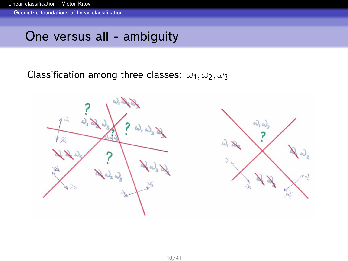<span id="page-10-0"></span>[Geometric foundations of linear classification](#page-10-0)

## One versus all - ambiguity

Classification among three classes:  $\omega_1, \omega_2, \omega_3$ 

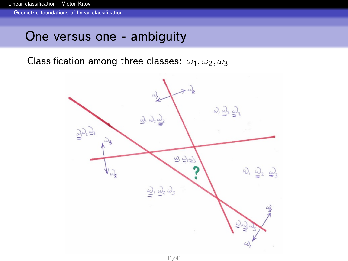<span id="page-11-0"></span>[Geometric foundations of linear classification](#page-11-0)

## One versus one - ambiguity

Classification among three classes:  $\omega_1, \omega_2, \omega_3$ 

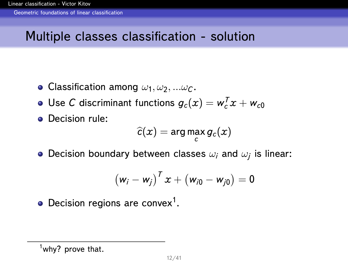<span id="page-12-0"></span>[Geometric foundations of linear classification](#page-12-0)

## Multiple classes classification - solution

- Classification among  $\omega_1, \omega_2, ... \omega_c$ .
- Use C discriminant functions  $g_c(x) = w_c^T x + w_{c0}$
- **•** Decision rule:

$$
\widehat{c}(x) = \arg\max_c g_c(x)
$$

Decision boundary between classes  $\omega_i$  and  $\omega_j$  is linear:

$$
\left(w_i - w_j\right)^T x + \left(w_{i0} - w_{j0}\right) = 0
$$

Decision regions are convex<sup>1</sup>.

 $1$ why? prove that.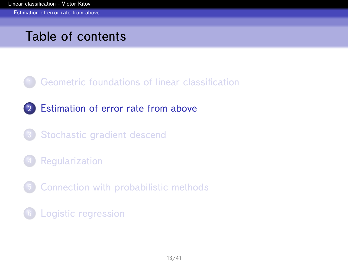<span id="page-13-0"></span>[Estimation of error rate from above](#page-13-0)

## Table of contents

- 1 [Geometric foundations of linear classification](#page-1-0)
- 2 [Estimation of error rate from above](#page-13-0)
- 3 [Stochastic gradient descend](#page-18-0)
- **[Regularization](#page-27-0)**
- 5 [Connection with probabilistic methods](#page-33-0)
- 6 [Logistic regression](#page-37-0)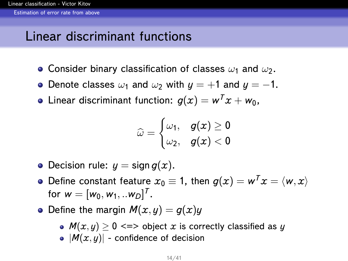<span id="page-14-0"></span>[Estimation of error rate from above](#page-14-0)

## Linear discriminant functions

- Consider binary classification of classes  $\omega_1$  and  $\omega_2$ .
- Denote classes  $\omega_1$  and  $\omega_2$  with  $y = +1$  and  $y = -1$ .
- Linear discriminant function:  $g(x) = w^T x + w_0$ ,

$$
\widehat{\omega} = \begin{cases} \omega_1, & g(x) \geq 0 \\ \omega_2, & g(x) < 0 \end{cases}
$$

- Decision rule:  $y =$  sign  $q(x)$ .
- Define constant feature  $x_0 \equiv 1$ , then  $g(x) = w^T x = \langle w, x \rangle$ for  $w = [w_0, w_1, ... w_D]^T$ .
- Define the margin  $M(x, y) = q(x)y$ 
	- $M(x, y) \ge 0 \iff$  object *x* is correctly classified as *y*
	- $|\mathcal{M}(x, y)|$  confidence of decision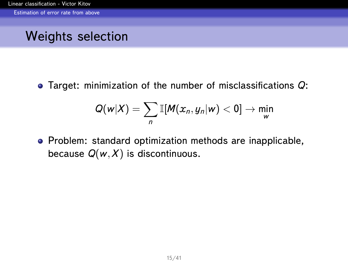<span id="page-15-0"></span>[Estimation of error rate from above](#page-15-0)

## Weights selection

Target: minimization of the number of misclassifications *Q*:

$$
Q(w|X) = \sum_{n} \mathbb{I}[M(x_n, y_n|w) < 0] \to \min_{w}
$$

Problem: standard optimization methods are inapplicable, because  $Q(w, X)$  is discontinuous.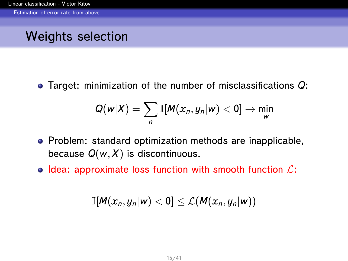<span id="page-16-0"></span>[Estimation of error rate from above](#page-16-0)

## Weights selection

Target: minimization of the number of misclassifications *Q*:

$$
Q(w|X) = \sum_{n} \mathbb{I}[M(x_n, y_n|w) < 0] \to \min_{w}
$$

- Problem: standard optimization methods are inapplicable, because  $Q(w, X)$  is discontinuous.
- Idea: approximate loss function with smooth function  $\mathcal{L}$ :

$$
\mathbb{I}[M(x_n,y_n|w)<0]\leq \mathcal{L}(M(x_n,y_n|w))
$$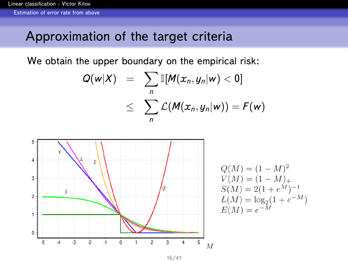<span id="page-17-0"></span>[Estimation of error rate from above](#page-17-0)

## Approximation of the target criteria

We obtain the upper boundary on the empirical risk:

$$
Q(w|X) = \sum_{n} \mathbb{I}[M(x_n, y_n|w) < 0]
$$
\n
$$
\leq \sum_{n} \mathcal{L}(M(x_n, y_n|w)) = F(w)
$$



16/41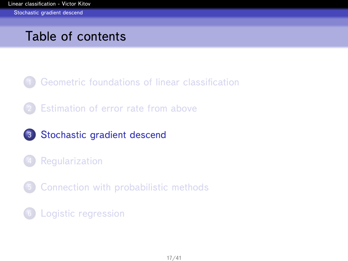## <span id="page-18-0"></span>Table of contents

- 1 [Geometric foundations of linear classification](#page-1-0)
- **[Estimation of error rate from above](#page-13-0)**
- 3 [Stochastic gradient descend](#page-18-0)
- **[Regularization](#page-27-0)**
- 5 [Connection with probabilistic methods](#page-33-0)
- 6 [Logistic regression](#page-37-0)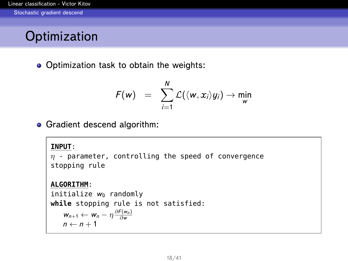# <span id="page-19-0"></span>**Optimization**

Optimization task to obtain the weights:

$$
F(w) = \sum_{i=1}^N \mathcal{L}(\langle w, x_i \rangle y_i) \rightarrow \min_w
$$

**• Gradient descend algorithm:** 

#### **INPUT**:

 $\eta$  - parameter, controlling the speed of convergence stopping rule

#### **ALGORITHM**:

initialize  $w_0$  randomly **while** stopping rule is not satisfied:  $w_{n+1} \leftarrow w_n - \eta \frac{\partial F(w_n)}{\partial w}$  $n \leftarrow n + 1$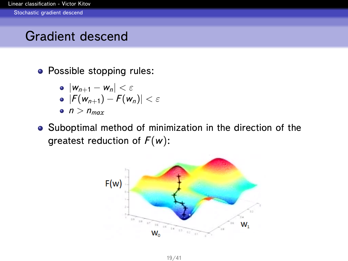<span id="page-20-0"></span>[Stochastic gradient descend](#page-20-0)

## Gradient descend

• Possible stopping rules:

$$
\bullet \ |W_{n+1} - W_n| < \varepsilon
$$

$$
\bullet \ |F(w_{n+1})-F(w_n)| < \varepsilon
$$

- $n > n_{max}$
- Suboptimal method of minimization in the direction of the greatest reduction of *F*(*w*):

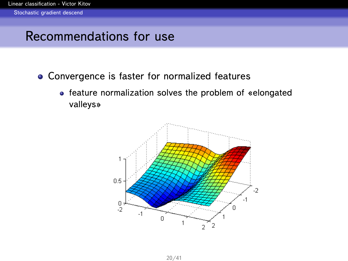## <span id="page-21-0"></span>Recommendations for use

- Convergence is faster for normalized features
	- feature normalization solves the problem of «elongated valleys»

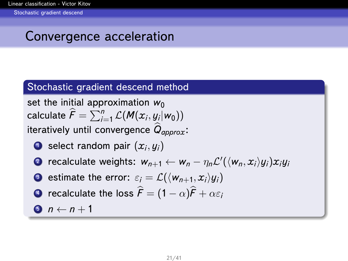# <span id="page-22-0"></span>Convergence acceleration

### Stochastic gradient descend method

set the initial approximation  $w_0$  $\textsf{calculate}~\widehat{F} = \sum_{i=1}^n \mathcal{L}(\textit{M}(x_i, y_i| \textit{w}_0))$ iteratively until convergence *<sup>Q</sup>*<sup>b</sup> *approx*:

- **1** select random pair  $(x_i, y_i)$
- 2 recalculate weights:  $w_{n+1} \leftarrow w_n \eta_n \mathcal{L}'(\langle w_n, x_i \rangle y_i) x_i y_i$
- **3** estimate the error:  $\varepsilon_i = \mathcal{L}(\langle w_{n+1}, x_i \rangle y_i)$
- **4** recalculate the loss  $\hat{F} = (1 \alpha)\hat{F} + \alpha \varepsilon_i$
- $\bullet$   $n \leftarrow n+1$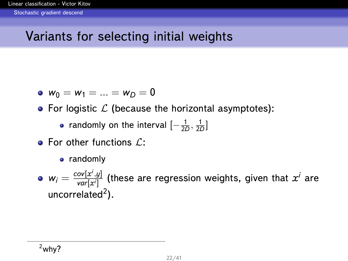# <span id="page-23-0"></span>Variants for selecting initial weights

• 
$$
w_0 = w_1 = ... = w_D = 0
$$

• For logistic  $\mathcal L$  (because the horizontal asymptotes):

randomly on the interval  $\left[-\frac{1}{2D},\frac{1}{2D}\right]$ 

- $\bullet$  For other functions  $\mathcal{L}$ :
	- randomly

 $w_i = \frac{cov[x^i,y]}{var[x^i]}$  $\frac{|\partial V[\textbf{\textit{x}}', \textbf{\textit{y}}]|}{|\textbf{\textit{var}}[\textbf{\textit{x}}']}$  (these are regression weights, given that  $\textbf{\textit{x}}^i$  are uncorrelated<sup>2</sup>).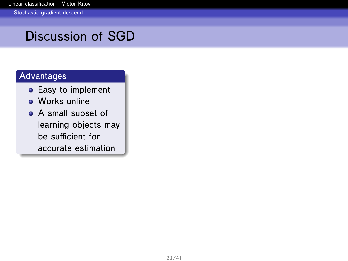# <span id="page-24-0"></span>Discussion of SGD

### **Advantages**

- **•** Easy to implement
- **Works online**
- A small subset of learning objects may be sufficient for accurate estimation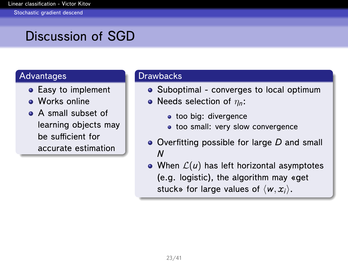# <span id="page-25-0"></span>Discussion of SGD

#### Advantages

- Easy to implement
- **O** Works online
- **A** small subset of learning objects may be sufficient for accurate estimation

#### Drawbacks

- Suboptimal converges to local optimum
- Needs selection of η*n*:
	- **too big: divergence**
	- too small: very slow convergence
- Overfitting possible for large *D* and small *N*
- When  $\mathcal{L}(u)$  has left horizontal asymptotes (e.g. logistic), the algorithm may «get stuck» for large values of  $\langle w, x_i \rangle$ .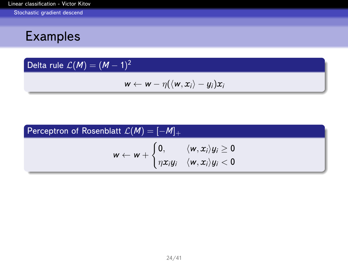<span id="page-26-0"></span>[Stochastic gradient descend](#page-26-0)

## Examples

### Delta rule  $\mathcal{L}(\mathcal{M}) = (\mathcal{M} - 1)^2$

$$
w \leftarrow w - \eta(\langle w, x_i \rangle - y_i)x_i
$$

### Perceptron of Rosenblatt  $\mathcal{L}(M) = [-M]_+$  $w \leftarrow w +$  $\int$  0,  $\langle w, x_i \rangle y_i \geq 0$  $\eta x_i y_i \quad \langle w, x_i \rangle y_i < 0$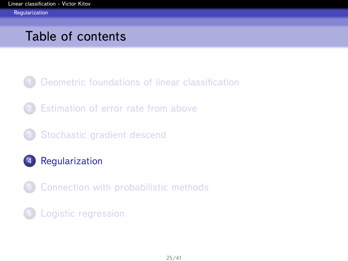## <span id="page-27-0"></span>Table of contents

- 1 [Geometric foundations of linear classification](#page-1-0)
- **[Estimation of error rate from above](#page-13-0)**
- 3 [Stochastic gradient descend](#page-18-0)
- 4 [Regularization](#page-27-0)
- 5 [Connection with probabilistic methods](#page-33-0)
- 6 [Logistic regression](#page-37-0)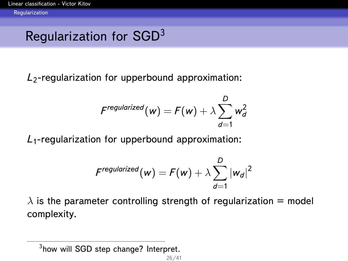# <span id="page-28-0"></span>Regularization for SGD<sup>3</sup>

*L*2-regularization for upperbound approximation:

$$
F^{regularized}(w) = F(w) + \lambda \sum_{d=1}^{D} w_d^2
$$

*L*1-regularization for upperbound approximation:

$$
\digamma^{regularized}(w) = \digamma(w) + \lambda \sum_{d=1}^D |w_d|^2
$$

 $\lambda$  is the parameter controlling strength of regularization = model complexity.

<sup>&</sup>lt;sup>3</sup>how will SGD step change? Interpret.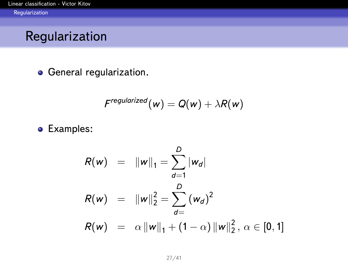## <span id="page-29-0"></span>Regularization

**o** General regularization.

$$
F^{regularized}(w) = Q(w) + \lambda R(w)
$$

**•** Examples:

$$
R(w) = \|w\|_1 = \sum_{d=1}^{D} |w_d|
$$
  
\n
$$
R(w) = \|w\|_2^2 = \sum_{d=1}^{D} (w_d)^2
$$
  
\n
$$
R(w) = \alpha \|w\|_1 + (1 - \alpha) \|w\|_2^2, \ \alpha \in [0, 1]
$$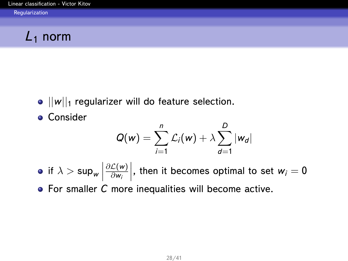# <span id="page-30-0"></span>*L*<sup>1</sup> norm

- $\bullet$   $||w||_1$  regularizer will do feature selection.
- **Consider**

$$
Q(w) = \sum_{i=1}^n \mathcal{L}_i(w) + \lambda \sum_{d=1}^D |w_d|
$$

if  $\lambda > \mathsf{sup_{w}}$ ∂L(*w*) ∂*w<sup>i</sup>*  $\Big\vert$ , then it becomes optimal to set  $w_i = 0$ **•** For smaller *C* more inequalities will become active.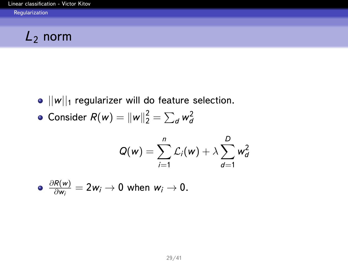# <span id="page-31-0"></span>*L*<sup>2</sup> norm

 $\bullet$   $||w||_1$  regularizer will do feature selection.

• Consider 
$$
R(w) = ||w||_2^2 = \sum_d w_d^2
$$

$$
Q(w) = \sum_{i=1}^n \mathcal{L}_i(w) + \lambda \sum_{d=1}^D w_d^2
$$

$$
\bullet \ \frac{\partial R(w)}{\partial w_i} = 2w_i \to 0 \text{ when } w_i \to 0.
$$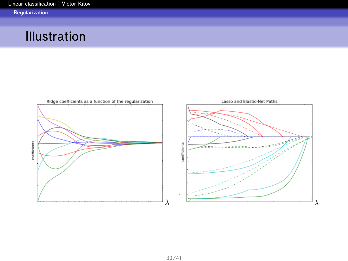## <span id="page-32-0"></span>Illustration

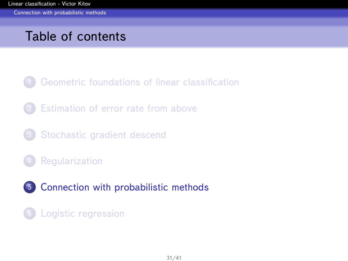<span id="page-33-0"></span>[Connection with probabilistic methods](#page-33-0)

## Table of contents

- 1 [Geometric foundations of linear classification](#page-1-0)
- **[Estimation of error rate from above](#page-13-0)**
- 3 [Stochastic gradient descend](#page-18-0)
- **[Regularization](#page-27-0)**
- 5 [Connection with probabilistic methods](#page-33-0)

### 6 [Logistic regression](#page-37-0)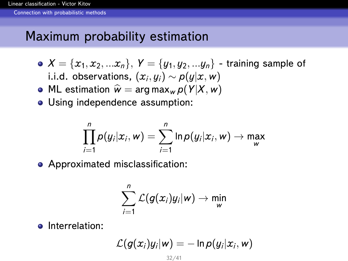<span id="page-34-0"></span>[Connection with probabilistic methods](#page-34-0)

## Maximum probability estimation

- $X = \{x_1, x_2, ... x_n\}, Y = \{y_1, y_2, ... y_n\}$  training sample of i.i.d. observations,  $(x_i, y_i)$  ∼  $\rho(y | x, w)$
- ML estimation  $\hat{w} = \arg \max_{w} p(Y|X, w)$
- Using independence assumption:

$$
\prod_{i=1}^n p(y_i|x_i,w) = \sum_{i=1}^n \ln p(y_i|x_i,w) \rightarrow \max_w
$$

• Approximated misclassification:

$$
\sum_{i=1}^n\mathcal{L}(g(x_i)y_i|w)\to \min_{w}
$$

• Interrelation:

$$
\mathcal{L}(g(x_i)y_i|w) = -\ln p(y_i|x_i,w)
$$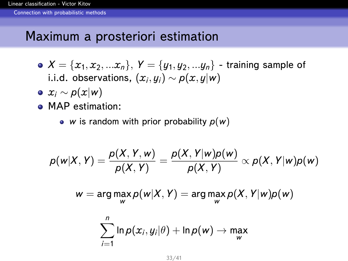<span id="page-35-0"></span>[Connection with probabilistic methods](#page-35-0)

## Maximum a prosteriori estimation

- $X = \{x_1, x_2, ... x_n\}, Y = \{y_1, y_2, ... y_n\}$  training sample of i.i.d. observations,  $(x_i, y_i)$  ∼  $p(x, y | w)$
- $\bullet x_i \sim p(x|w)$
- MAP estimation:
	- *w* is random with prior probability  $p(w)$

$$
\rho(w|X,Y)=\frac{\rho(X,Y,w)}{\rho(X,Y)}=\frac{\rho(X,Y|w)\rho(w)}{\rho(X,Y)}\propto\rho(X,Y|w)\rho(w)
$$

$$
w = \arg\max_{w} p(w|X, Y) = \arg\max_{w} p(X, Y|w)p(w)
$$

$$
\sum_{i=1}^n \ln p(x_i, y_i | \theta) + \ln p(w) \to \max_w
$$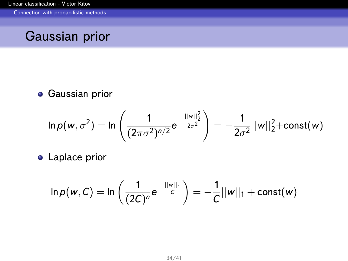<span id="page-36-0"></span>[Connection with probabilistic methods](#page-36-0)

## Gaussian prior

**• Gaussian prior** 

$$
\ln p(w, \sigma^2) = \ln \left( \frac{1}{(2\pi\sigma^2)^{n/2}} e^{-\frac{||w||_2^2}{2\sigma^2}} \right) = -\frac{1}{2\sigma^2} ||w||_2^2 + const(w)
$$

**•** Laplace prior

$$
\ln p(w, C) = \ln \left( \frac{1}{(2C)^n} e^{-\frac{||w||_1}{C}} \right) = -\frac{1}{C} ||w||_1 + \text{const}(w)
$$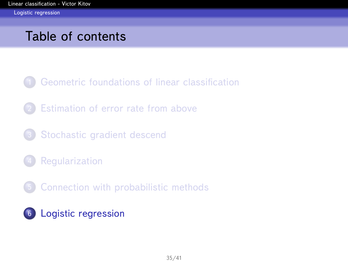## <span id="page-37-0"></span>Table of contents

- 1 [Geometric foundations of linear classification](#page-1-0)
- **[Estimation of error rate from above](#page-13-0)**
- 3 [Stochastic gradient descend](#page-18-0)
- **[Regularization](#page-27-0)**
- 5 [Connection with probabilistic methods](#page-33-0)
- 6 [Logistic regression](#page-37-0)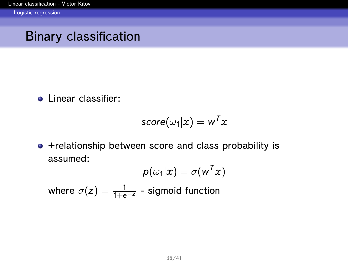<span id="page-38-0"></span>[Logistic regression](#page-38-0)

## Binary classification

**o** Linear classifier:

$$
\mathit{score}(\omega_1 | x) = w^T x
$$

+relationship between score and class probability is assumed:

$$
\boldsymbol{\mathcal{p}}(\omega_1|\boldsymbol{x}) = \sigma(\boldsymbol{w}^T\boldsymbol{x})
$$

where  $\sigma(\bm{z}) = \frac{1}{1+e^{-\bm{z}}}$  - sigmoid function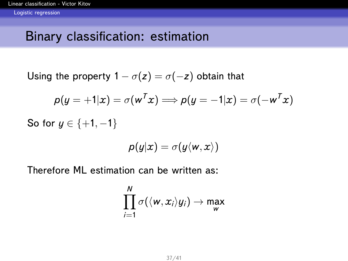## <span id="page-39-0"></span>Binary classification: estimation

Using the property  $1 - \sigma(z) = \sigma(-z)$  obtain that

$$
p(y = +1|x) = \sigma(w^T x) \Longrightarrow p(y = -1|x) = \sigma(-w^T x)
$$

So for *y* ∈ {+1, -1}

$$
\rho(y|x)=\sigma(y\langle w,x\rangle)
$$

Therefore ML estimation can be written as:

$$
\prod_{i=1}^N \sigma(\langle w, x_i \rangle y_i) \to \max_{w}
$$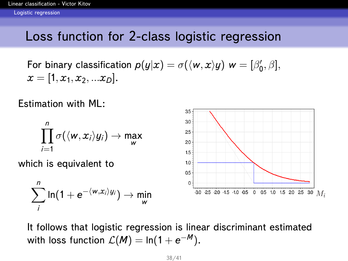## <span id="page-40-0"></span>Loss function for 2-class logistic regression

For binary classification  $p(y|x) = \sigma(\langle w, x \rangle y)$   $w = [\beta'_0, \beta],$  $x = [1, x_1, x_2, ... x_n].$ 

Estimation with ML:

$$
\prod_{i=1}^n \sigma(\langle w, x_i \rangle y_i) \to \max_{w}
$$

which is equivalent to

$$
\sum_{i}^{n}\ln(1+e^{-\langle w,x_{i}\rangle y_{i}})\rightarrow \min_{w}
$$



It follows that logistic regression is linear discriminant estimated with loss function  $\mathcal{L}(\pmb{M}) = \ln(1 + \mathsf{e}^{-\pmb{M}}).$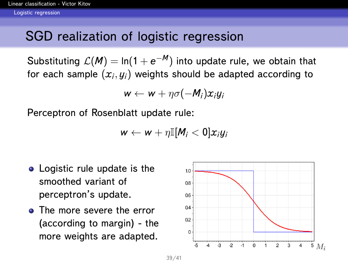## <span id="page-41-0"></span>SGD realization of logistic regression

Substituting  $\mathcal{L}(\textit{M})=$  ln $(1+e^{-\textit{M}})$  into update rule, we obtain that for each sample  $\left(x_{i}, y_{i}\right)$  weights should be adapted according to

$$
w \leftarrow w + \eta \sigma(-M_i) x_i y_i
$$

Perceptron of Rosenblatt update rule:

$$
w \leftarrow w + \eta \mathbb{I}[M_i < 0]x_iy_i
$$

- Logistic rule update is the smoothed variant of perceptron's update.
- **•** The more severe the error (according to margin) - the more weights are adapted.

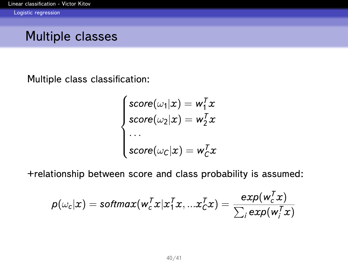## <span id="page-42-0"></span>Multiple classes

Multiple class classification:

$$
\begin{cases}\n\text{score}(\omega_1|x) = w_1^T x \\
\text{score}(\omega_2|x) = w_2^T x \\
\cdots \\
\text{score}(\omega_c|x) = w_c^T x\n\end{cases}
$$

+relationship between score and class probability is assumed:

$$
\pmb{\rho}(\omega_{c}|\pmb{x}) = \pmb{softmax}(\pmb{w}_c^T\pmb{x}|\pmb{x}_1^T\pmb{x},... \pmb{x}_c^T\pmb{x}) = \frac{\pmb{exp}(\pmb{w}_c^T\pmb{x})}{\sum_i \pmb{exp}(\pmb{w}_i^T\pmb{x})}
$$